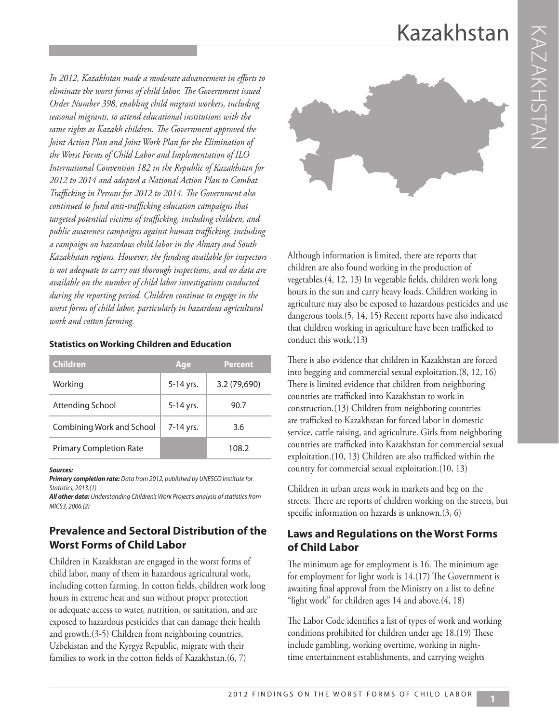## Kazakhstan

*In 2012, Kazakhstan made a moderate advancement in efforts to eliminate the worst forms of child labor. The Government issued Order Number 398, enabling child migrant workers, including seasonal migrants, to attend educational institutions with the same rights as Kazakh children. The Government approved the Joint Action Plan and Joint Work Plan for the Elimination of the Worst Forms of Child Labor and Implementation of ILO International Convention 182 in the Republic of Kazakhstan for 2012 to 2014 and adopted a National Action Plan to Combat Trafficking in Persons for 2012 to 2014. The Government also continued to fund anti-trafficking education campaigns that targeted potential victims of trafficking, including children, and public awareness campaigns against human trafficking, including a campaign on hazardous child labor in the Almaty and South Kazakhstan regions. However, the funding available for inspectors is not adequate to carry out thorough inspections, and no data are available on the number of child labor investigations conducted during the reporting period. Children continue to engage in the worst forms of child labor, particularly in hazardous agricultural work and cotton farming.* 

| <b>Children</b>                | Age       | <b>Percent</b> |
|--------------------------------|-----------|----------------|
| Working                        | 5-14 yrs. | 3.2 (79,690)   |
| <b>Attending School</b>        | 5-14 yrs. | 90.7           |
| Combining Work and School      | 7-14 yrs. | 3.6            |
| <b>Primary Completion Rate</b> |           | 108.2          |

#### **Statistics on Working Children and Education**

#### *Sources:*

*Primary completion rate: Data from 2012, published by UNESCO Institute for Statistics, 2013.(1)* 

*All other data: Understanding Children's Work Project's analysis of statistics from MICS3, 2006.(2)*

## **Prevalence and Sectoral Distribution of the Worst Forms of Child Labor**

Children in Kazakhstan are engaged in the worst forms of child labor, many of them in hazardous agricultural work, including cotton farming. In cotton fields, children work long hours in extreme heat and sun without proper protection or adequate access to water, nutrition, or sanitation, and are exposed to hazardous pesticides that can damage their health and growth.(3-5) Children from neighboring countries, Uzbekistan and the Kyrgyz Republic, migrate with their families to work in the cotton fields of Kazakhstan.(6, 7)



Although information is limited, there are reports that children are also found working in the production of vegetables.(4, 12, 13) In vegetable fields, children work long hours in the sun and carry heavy loads. Children working in agriculture may also be exposed to hazardous pesticides and use dangerous tools.(5, 14, 15) Recent reports have also indicated that children working in agriculture have been trafficked to conduct this work.(13)

There is also evidence that children in Kazakhstan are forced into begging and commercial sexual exploitation.(8, 12, 16) There is limited evidence that children from neighboring countries are trafficked into Kazakhstan to work in construction.(13) Children from neighboring countries are trafficked to Kazakhstan for forced labor in domestic service, cattle raising, and agriculture. Girls from neighboring countries are trafficked into Kazakhstan for commercial sexual exploitation.(10, 13) Children are also trafficked within the country for commercial sexual exploitation.(10, 13)

Children in urban areas work in markets and beg on the streets. There are reports of children working on the streets, but specific information on hazards is unknown.(3, 6)

#### **Laws and Regulations on the Worst Forms of Child Labor**

The minimum age for employment is 16. The minimum age for employment for light work is 14.(17) The Government is awaiting final approval from the Ministry on a list to define "light work" for children ages 14 and above.(4, 18)

The Labor Code identifies a list of types of work and working conditions prohibited for children under age 18.(19) These include gambling, working overtime, working in nighttime entertainment establishments, and carrying weights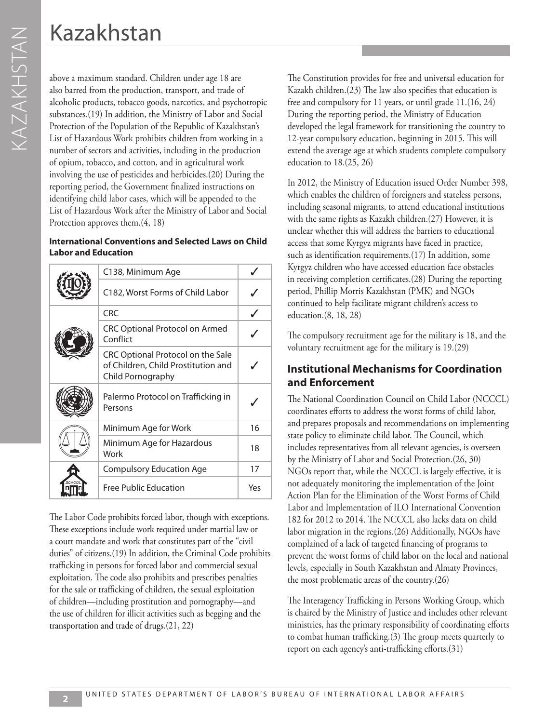# Kazakhstan

above a maximum standard. Children under age 18 are also barred from the production, transport, and trade of alcoholic products, tobacco goods, narcotics, and psychotropic substances.(19) In addition, the Ministry of Labor and Social Protection of the Population of the Republic of Kazakhstan's List of Hazardous Work prohibits children from working in a number of sectors and activities, including in the production of opium, tobacco, and cotton, and in agricultural work involving the use of pesticides and herbicides.(20) During the reporting period, the Government finalized instructions on identifying child labor cases, which will be appended to the List of Hazardous Work after the Ministry of Labor and Social Protection approves them.(4, 18)

#### **International Conventions and Selected Laws on Child Labor and Education**

|  | C138, Minimum Age                                                                             |     |
|--|-----------------------------------------------------------------------------------------------|-----|
|  | C182, Worst Forms of Child Labor                                                              |     |
|  | <b>CRC</b>                                                                                    |     |
|  | CRC Optional Protocol on Armed<br>Conflict                                                    |     |
|  | CRC Optional Protocol on the Sale<br>of Children, Child Prostitution and<br>Child Pornography |     |
|  | Palermo Protocol on Trafficking in<br>Persons                                                 |     |
|  | Minimum Age for Work                                                                          | 16  |
|  | Minimum Age for Hazardous<br>Work                                                             | 18  |
|  | <b>Compulsory Education Age</b>                                                               | 17  |
|  | <b>Free Public Education</b>                                                                  | Yes |

The Labor Code prohibits forced labor, though with exceptions. These exceptions include work required under martial law or a court mandate and work that constitutes part of the "civil duties" of citizens.(19) In addition, the Criminal Code prohibits trafficking in persons for forced labor and commercial sexual exploitation. The code also prohibits and prescribes penalties for the sale or trafficking of children, the sexual exploitation of children—including prostitution and pornography—and the use of children for illicit activities such as begging and the transportation and trade of drugs.(21, 22)

The Constitution provides for free and universal education for Kazakh children.(23) The law also specifies that education is free and compulsory for 11 years, or until grade 11.(16, 24) During the reporting period, the Ministry of Education developed the legal framework for transitioning the country to 12-year compulsory education, beginning in 2015. This will extend the average age at which students complete compulsory education to 18.(25, 26)

In 2012, the Ministry of Education issued Order Number 398, which enables the children of foreigners and stateless persons, including seasonal migrants, to attend educational institutions with the same rights as Kazakh children.(27) However, it is unclear whether this will address the barriers to educational access that some Kyrgyz migrants have faced in practice, such as identification requirements.(17) In addition, some Kyrgyz children who have accessed education face obstacles in receiving completion certificates.(28) During the reporting period, Phillip Morris Kazakhstan (PMK) and NGOs continued to help facilitate migrant children's access to education.(8, 18, 28)

The compulsory recruitment age for the military is 18, and the voluntary recruitment age for the military is 19.(29)

#### **Institutional Mechanisms for Coordination and Enforcement**

The National Coordination Council on Child Labor (NCCCL) coordinates efforts to address the worst forms of child labor, and prepares proposals and recommendations on implementing state policy to eliminate child labor. The Council, which includes representatives from all relevant agencies, is overseen by the Ministry of Labor and Social Protection.(26, 30) NGOs report that, while the NCCCL is largely effective, it is not adequately monitoring the implementation of the Joint Action Plan for the Elimination of the Worst Forms of Child Labor and Implementation of ILO International Convention 182 for 2012 to 2014. The NCCCL also lacks data on child labor migration in the regions.(26) Additionally, NGOs have complained of a lack of targeted financing of programs to prevent the worst forms of child labor on the local and national levels, especially in South Kazakhstan and Almaty Provinces, the most problematic areas of the country.(26)

The Interagency Trafficking in Persons Working Group, which is chaired by the Ministry of Justice and includes other relevant ministries, has the primary responsibility of coordinating efforts to combat human trafficking.(3) The group meets quarterly to report on each agency's anti-trafficking efforts.(31)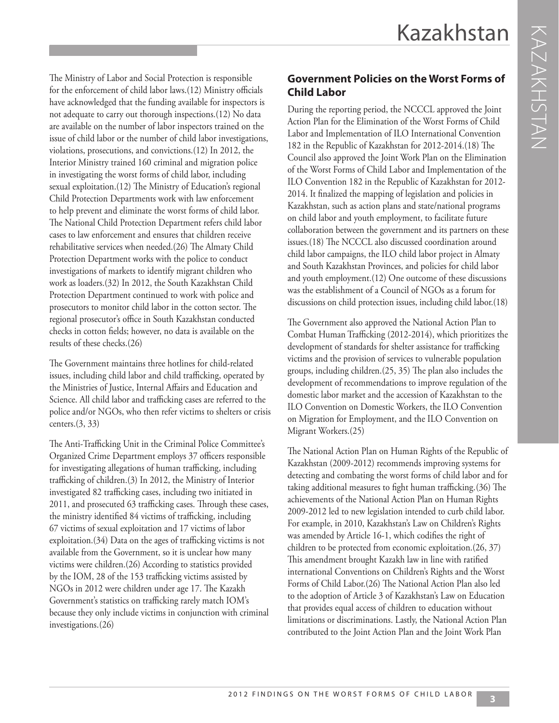The Ministry of Labor and Social Protection is responsible for the enforcement of child labor laws.(12) Ministry officials have acknowledged that the funding available for inspectors is not adequate to carry out thorough inspections.(12) No data are available on the number of labor inspectors trained on the issue of child labor or the number of child labor investigations, violations, prosecutions, and convictions.(12) In 2012, the Interior Ministry trained 160 criminal and migration police in investigating the worst forms of child labor, including sexual exploitation.(12) The Ministry of Education's regional Child Protection Departments work with law enforcement to help prevent and eliminate the worst forms of child labor. The National Child Protection Department refers child labor cases to law enforcement and ensures that children receive rehabilitative services when needed.(26) The Almaty Child Protection Department works with the police to conduct investigations of markets to identify migrant children who work as loaders.(32) In 2012, the South Kazakhstan Child Protection Department continued to work with police and prosecutors to monitor child labor in the cotton sector. The regional prosecutor's office in South Kazakhstan conducted checks in cotton fields; however, no data is available on the results of these checks.(26)

The Government maintains three hotlines for child-related issues, including child labor and child trafficking, operated by the Ministries of Justice, Internal Affairs and Education and Science. All child labor and trafficking cases are referred to the police and/or NGOs, who then refer victims to shelters or crisis centers.(3, 33)

The Anti-Trafficking Unit in the Criminal Police Committee's Organized Crime Department employs 37 officers responsible for investigating allegations of human trafficking, including trafficking of children.(3) In 2012, the Ministry of Interior investigated 82 trafficking cases, including two initiated in 2011, and prosecuted 63 trafficking cases. Through these cases, the ministry identified 84 victims of trafficking, including 67 victims of sexual exploitation and 17 victims of labor exploitation.(34) Data on the ages of trafficking victims is not available from the Government, so it is unclear how many victims were children.(26) According to statistics provided by the IOM, 28 of the 153 trafficking victims assisted by NGOs in 2012 were children under age 17. The Kazakh Government's statistics on trafficking rarely match IOM's because they only include victims in conjunction with criminal investigations.(26)

### **Government Policies on the Worst Forms of Child Labor**

During the reporting period, the NCCCL approved the Joint Action Plan for the Elimination of the Worst Forms of Child Labor and Implementation of ILO International Convention 182 in the Republic of Kazakhstan for 2012-2014.(18) The Council also approved the Joint Work Plan on the Elimination of the Worst Forms of Child Labor and Implementation of the ILO Convention 182 in the Republic of Kazakhstan for 2012- 2014. It finalized the mapping of legislation and policies in Kazakhstan, such as action plans and state/national programs on child labor and youth employment, to facilitate future collaboration between the government and its partners on these issues.(18) The NCCCL also discussed coordination around child labor campaigns, the ILO child labor project in Almaty and South Kazakhstan Provinces, and policies for child labor and youth employment.(12) One outcome of these discussions was the establishment of a Council of NGOs as a forum for discussions on child protection issues, including child labor.(18)

The Government also approved the National Action Plan to Combat Human Trafficking (2012-2014), which prioritizes the development of standards for shelter assistance for trafficking victims and the provision of services to vulnerable population groups, including children.(25, 35) The plan also includes the development of recommendations to improve regulation of the domestic labor market and the accession of Kazakhstan to the ILO Convention on Domestic Workers, the ILO Convention on Migration for Employment, and the ILO Convention on Migrant Workers.(25)

The National Action Plan on Human Rights of the Republic of Kazakhstan (2009-2012) recommends improving systems for detecting and combating the worst forms of child labor and for taking additional measures to fight human trafficking.(36) The achievements of the National Action Plan on Human Rights 2009-2012 led to new legislation intended to curb child labor. For example, in 2010, Kazakhstan's Law on Children's Rights was amended by Article 16-1, which codifies the right of children to be protected from economic exploitation.(26, 37) This amendment brought Kazakh law in line with ratified international Conventions on Children's Rights and the Worst Forms of Child Labor.(26) The National Action Plan also led to the adoption of Article 3 of Kazakhstan's Law on Education that provides equal access of children to education without limitations or discriminations. Lastly, the National Action Plan contributed to the Joint Action Plan and the Joint Work Plan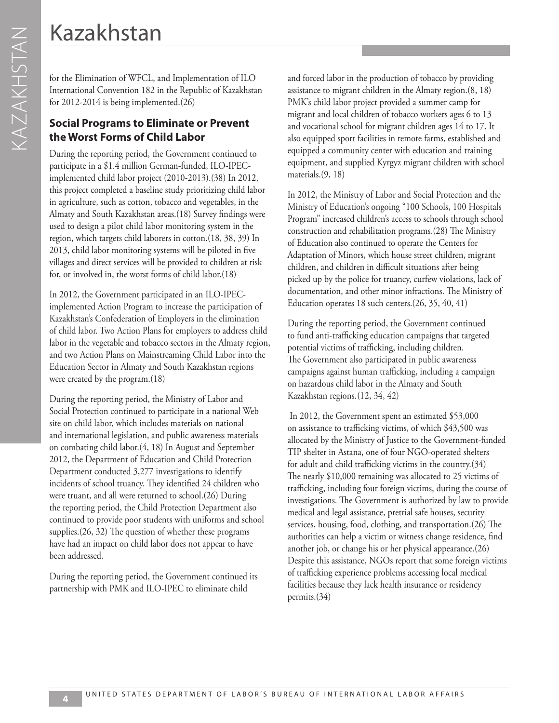KAZAKHSTAN

KAZAKHSTAN

for the Elimination of WFCL, and Implementation of ILO International Convention 182 in the Republic of Kazakhstan for 2012-2014 is being implemented.(26)

### **Social Programs to Eliminate or Prevent the Worst Forms of Child Labor**

During the reporting period, the Government continued to participate in a \$1.4 million German-funded, ILO-IPECimplemented child labor project (2010-2013).(38) In 2012, this project completed a baseline study prioritizing child labor in agriculture, such as cotton, tobacco and vegetables, in the Almaty and South Kazakhstan areas.(18) Survey findings were used to design a pilot child labor monitoring system in the region, which targets child laborers in cotton.(18, 38, 39) In 2013, child labor monitoring systems will be piloted in five villages and direct services will be provided to children at risk for, or involved in, the worst forms of child labor.(18)

In 2012, the Government participated in an ILO-IPECimplemented Action Program to increase the participation of Kazakhstan's Confederation of Employers in the elimination of child labor. Two Action Plans for employers to address child labor in the vegetable and tobacco sectors in the Almaty region, and two Action Plans on Mainstreaming Child Labor into the Education Sector in Almaty and South Kazakhstan regions were created by the program.(18)

During the reporting period, the Ministry of Labor and Social Protection continued to participate in a national Web site on child labor, which includes materials on national and international legislation, and public awareness materials on combating child labor.(4, 18) In August and September 2012, the Department of Education and Child Protection Department conducted 3,277 investigations to identify incidents of school truancy. They identified 24 children who were truant, and all were returned to school.(26) During the reporting period, the Child Protection Department also continued to provide poor students with uniforms and school supplies.(26, 32) The question of whether these programs have had an impact on child labor does not appear to have been addressed.

During the reporting period, the Government continued its partnership with PMK and ILO-IPEC to eliminate child

and forced labor in the production of tobacco by providing assistance to migrant children in the Almaty region.(8, 18) PMK's child labor project provided a summer camp for migrant and local children of tobacco workers ages 6 to 13 and vocational school for migrant children ages 14 to 17. It also equipped sport facilities in remote farms, established and equipped a community center with education and training equipment, and supplied Kyrgyz migrant children with school materials.(9, 18)

In 2012, the Ministry of Labor and Social Protection and the Ministry of Education's ongoing "100 Schools, 100 Hospitals Program" increased children's access to schools through school construction and rehabilitation programs.(28) The Ministry of Education also continued to operate the Centers for Adaptation of Minors, which house street children, migrant children, and children in difficult situations after being picked up by the police for truancy, curfew violations, lack of documentation, and other minor infractions. The Ministry of Education operates 18 such centers.(26, 35, 40, 41)

During the reporting period, the Government continued to fund anti-trafficking education campaigns that targeted potential victims of trafficking, including children. The Government also participated in public awareness campaigns against human trafficking, including a campaign on hazardous child labor in the Almaty and South Kazakhstan regions.(12, 34, 42)

 In 2012, the Government spent an estimated \$53,000 on assistance to trafficking victims, of which \$43,500 was allocated by the Ministry of Justice to the Government-funded TIP shelter in Astana, one of four NGO-operated shelters for adult and child trafficking victims in the country.(34) The nearly \$10,000 remaining was allocated to 25 victims of trafficking, including four foreign victims, during the course of investigations. The Government is authorized by law to provide medical and legal assistance, pretrial safe houses, security services, housing, food, clothing, and transportation.(26) The authorities can help a victim or witness change residence, find another job, or change his or her physical appearance.(26) Despite this assistance, NGOs report that some foreign victims of trafficking experience problems accessing local medical facilities because they lack health insurance or residency permits.(34)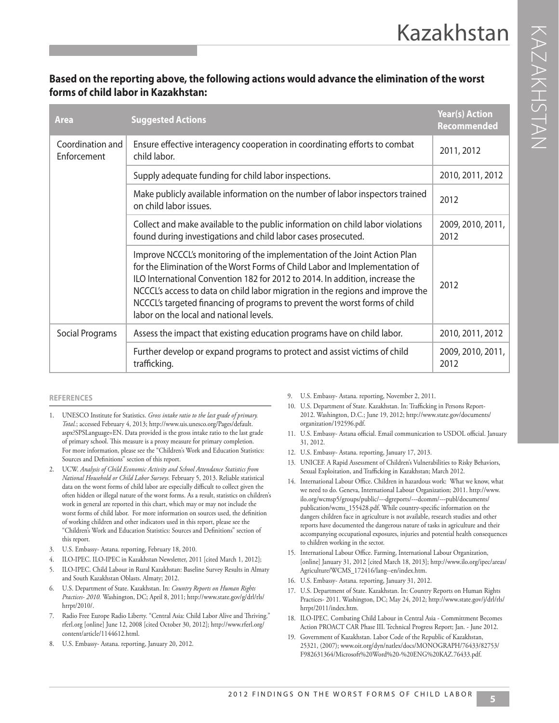#### **Based on the reporting above, the following actions would advance the elimination of the worst forms of child labor in Kazakhstan:**

| <b>Area</b>                     | <b>Suggested Actions</b>                                                                                                                                                                                                                                                                                                                                                                                                                            | <b>Year(s) Action</b><br><b>Recommended</b> |
|---------------------------------|-----------------------------------------------------------------------------------------------------------------------------------------------------------------------------------------------------------------------------------------------------------------------------------------------------------------------------------------------------------------------------------------------------------------------------------------------------|---------------------------------------------|
| Coordination and<br>Enforcement | Ensure effective interagency cooperation in coordinating efforts to combat<br>child labor.                                                                                                                                                                                                                                                                                                                                                          | 2011, 2012                                  |
|                                 | Supply adequate funding for child labor inspections.                                                                                                                                                                                                                                                                                                                                                                                                | 2010, 2011, 2012                            |
|                                 | Make publicly available information on the number of labor inspectors trained<br>on child labor issues.                                                                                                                                                                                                                                                                                                                                             | 2012                                        |
|                                 | Collect and make available to the public information on child labor violations<br>found during investigations and child labor cases prosecuted.                                                                                                                                                                                                                                                                                                     | 2009, 2010, 2011,<br>2012                   |
|                                 | Improve NCCCL's monitoring of the implementation of the Joint Action Plan<br>for the Elimination of the Worst Forms of Child Labor and Implementation of<br>ILO International Convention 182 for 2012 to 2014. In addition, increase the<br>NCCCL's access to data on child labor migration in the regions and improve the<br>NCCCL's targeted financing of programs to prevent the worst forms of child<br>labor on the local and national levels. | 2012                                        |
| Social Programs                 | Assess the impact that existing education programs have on child labor.                                                                                                                                                                                                                                                                                                                                                                             | 2010, 2011, 2012                            |
|                                 | Further develop or expand programs to protect and assist victims of child<br>trafficking.                                                                                                                                                                                                                                                                                                                                                           | 2009, 2010, 2011,<br>2012                   |

#### **REFERENCES**

- 1. UNESCO Institute for Statistics. *Gross intake ratio to the last grade of primary. Total.*; accessed February 4, 2013; http://www.uis.unesco.org/Pages/default. aspx?SPSLanguage=EN. Data provided is the gross intake ratio to the last grade of primary school. This measure is a proxy measure for primary completion. For more information, please see the "Children's Work and Education Statistics: Sources and Definitions" section of this report.
- 2. UCW. *Analysis of Child Economic Activity and School Attendance Statistics from National Household or Child Labor Surveys.* February 5, 2013. Reliable statistical data on the worst forms of child labor are especially difficult to collect given the often hidden or illegal nature of the worst forms. As a result, statistics on children's work in general are reported in this chart, which may or may not include the worst forms of child labor. For more information on sources used, the definition of working children and other indicators used in this report, please see the "Children's Work and Education Statistics: Sources and Definitions" section of this report.
- 3. U.S. Embassy- Astana. reporting, February 18, 2010.
- 4. ILO-IPEC. ILO-IPEC in Kazakhstan Newsletter, 2011 [cited March 1, 2012];
- 5. ILO-IPEC. Child Labour in Rural Kazakhstan: Baseline Survey Results in Almaty and South Kazakhstan Oblasts. Almaty; 2012.
- 6. U.S. Department of State. Kazakhstan. In: *Country Reports on Human Rights Practices- 2010.* Washington, DC; April 8, 2011; http://www.state.gov/g/drl/rls/ hrrpt/2010/.
- 7. Radio Free Europe Radio Liberty. "Central Asia: Child Labor Alive and Thriving." rferl.org [online] June 12, 2008 [cited October 30, 2012]; http://www.rferl.org/ content/article/1144612.html.
- 8. U.S. Embassy- Astana. reporting, January 20, 2012.
- 9. U.S. Embassy- Astana. reporting, November 2, 2011.
- 10. U.S. Department of State. Kazakhstan. In: Trafficking in Persons Report-2012. Washington, D.C.; June 19, 2012; http://www.state.gov/documents/ organization/192596.pdf.
- 11. U.S. Embassy- Astana official. Email communication to USDOL official. January 31, 2012.
- 12. U.S. Embassy- Astana. reporting, January 17, 2013.
- 13. UNICEF. A Rapid Assessment of Children's Vulnerabilities to Risky Behaviors, Sexual Exploitation, and Trafficking in Kazakhstan; March 2012.
- 14. International Labour Office. Children in hazardous work: What we know, what we need to do. Geneva, International Labour Organization; 2011. http://www. ilo.org/wcmsp5/groups/public/---dgreports/---dcomm/---publ/documents/ publication/wcms\_155428.pdf. While country-specific information on the dangers children face in agriculture is not available, research studies and other reports have documented the dangerous nature of tasks in agriculture and their accompanying occupational exposures, injuries and potential health consequences to children working in the sector.
- 15. International Labour Office. Farming, International Labour Organization, [online] January 31, 2012 [cited March 18, 2013]; http://www.ilo.org/ipec/areas/ Agriculture/WCMS\_172416/lang--en/index.htm.
- 16. U.S. Embassy- Astana. reporting, January 31, 2012.
- 17. U.S. Department of State. Kazakhstan. In: Country Reports on Human Rights Practices- 2011. Washington, DC; May 24, 2012; http://www.state.gov/j/drl/rls/ hrrpt/2011/index.htm.
- 18. ILO-IPEC. Combating Child Labour in Central Asia Committment Becomes Action PROACT CAR Phase III. Technical Progress Report; Jan. - June 2012.
- 19. Government of Kazakhstan. Labor Code of the Republic of Kazakhstan, 25321, (2007); www.oit.org/dyn/natlex/docs/MONOGRAPH/76433/82753/ F982631364/Microsoft%20Word%20-%20ENG%20KAZ.76433.pdf.